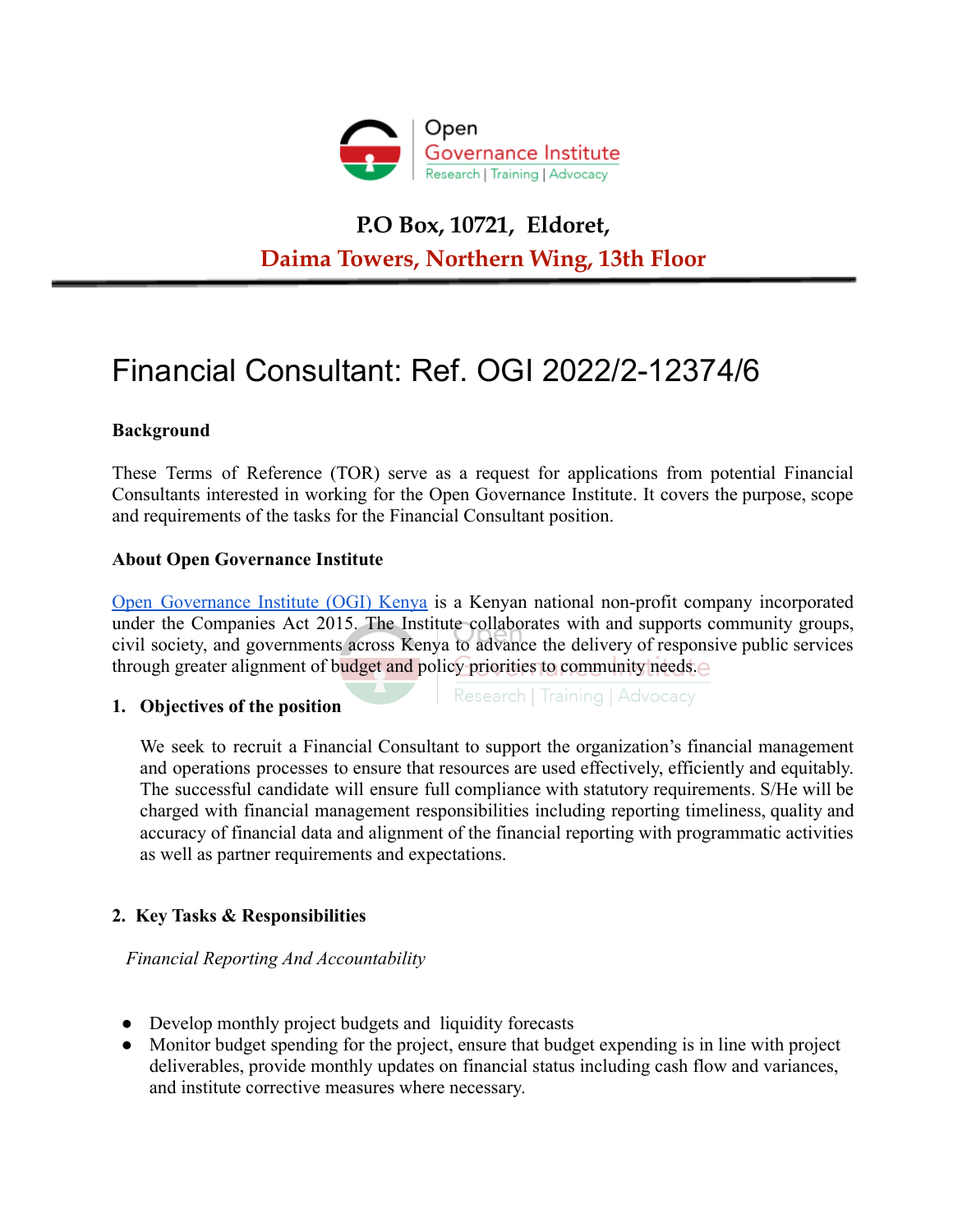

# **P.O Box, 10721, Eldoret, Daima Towers, Northern Wing, 13th Floor**

# Financial Consultant: Ref. OGI 2022/2-12374/6

# **Background**

These Terms of Reference (TOR) serve as a request for applications from potential Financial Consultants interested in working for the Open Governance Institute. It covers the purpose, scope and requirements of the tasks for the Financial Consultant position.

# **About Open Governance Institute**

Open [Governance](https://opengovinstitute.org/) Institute (OGI) Kenya is a Kenyan national non-profit company incorporated under the Companies Act 2015. The Institute collaborates with and supports community groups, civil society, and governments across Kenya to advance the delivery of responsive public services through greater alignment of budget and policy priorities to community needs.

### **1. Objectives of the position**

Research | Training | Advocacy

We seek to recruit a Financial Consultant to support the organization's financial management and operations processes to ensure that resources are used effectively, efficiently and equitably. The successful candidate will ensure full compliance with statutory requirements. S/He will be charged with financial management responsibilities including reporting timeliness, quality and accuracy of financial data and alignment of the financial reporting with programmatic activities as well as partner requirements and expectations.

# **2. Key Tasks & Responsibilities**

*Financial Reporting And Accountability*

- Develop monthly project budgets and liquidity forecasts
- Monitor budget spending for the project, ensure that budget expending is in line with project deliverables, provide monthly updates on financial status including cash flow and variances, and institute corrective measures where necessary.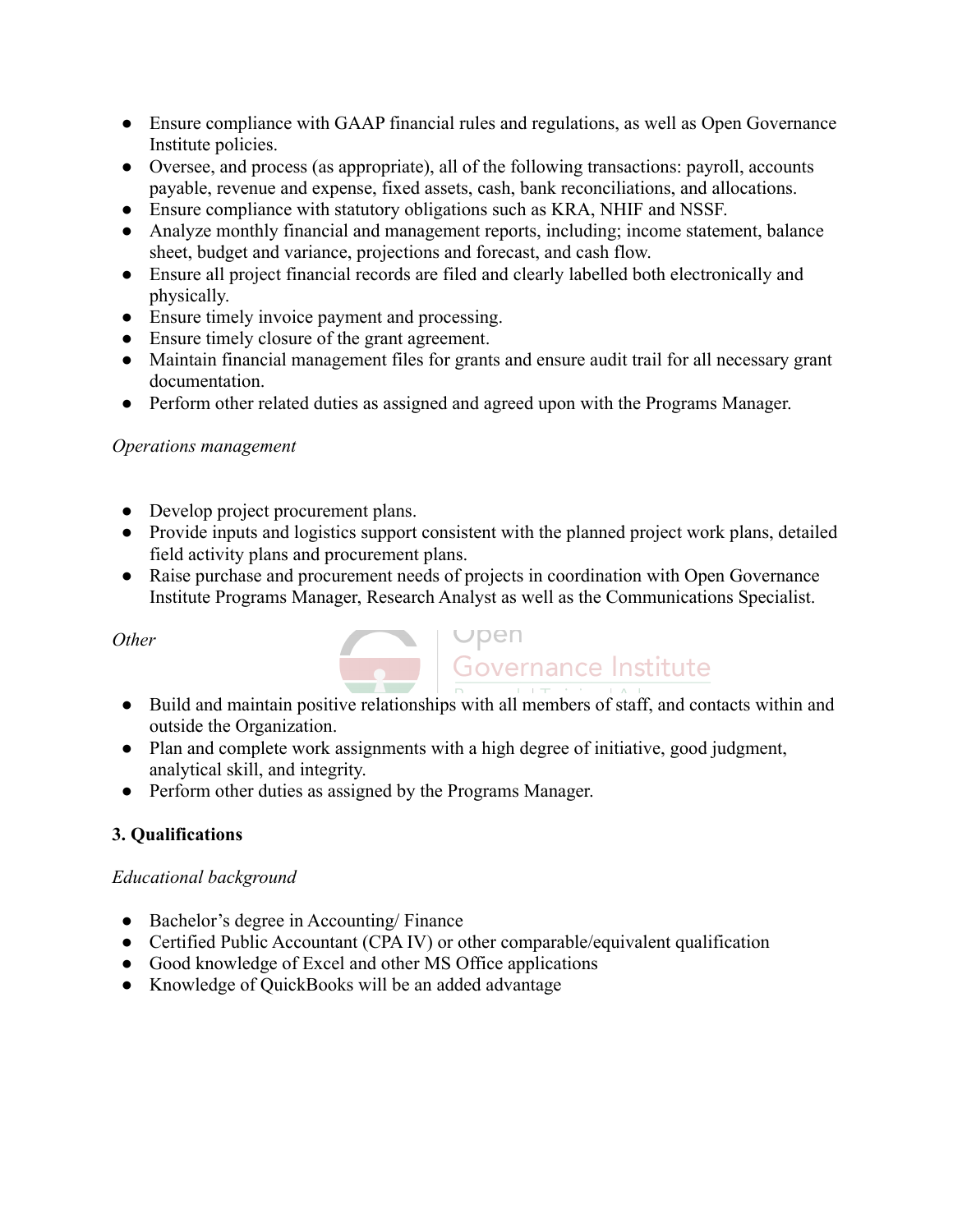- Ensure compliance with GAAP financial rules and regulations, as well as Open Governance Institute policies.
- Oversee, and process (as appropriate), all of the following transactions: payroll, accounts payable, revenue and expense, fixed assets, cash, bank reconciliations, and allocations.
- Ensure compliance with statutory obligations such as KRA, NHIF and NSSF.
- Analyze monthly financial and management reports, including; income statement, balance sheet, budget and variance, projections and forecast, and cash flow.
- Ensure all project financial records are filed and clearly labelled both electronically and physically.
- Ensure timely invoice payment and processing.
- Ensure timely closure of the grant agreement.
- Maintain financial management files for grants and ensure audit trail for all necessary grant documentation.
- Perform other related duties as assigned and agreed upon with the Programs Manager.

# *Operations management*

- Develop project procurement plans.
- Provide inputs and logistics support consistent with the planned project work plans, detailed field activity plans and procurement plans.
- Raise purchase and procurement needs of projects in coordination with Open Governance Institute Programs Manager, Research Analyst as well as the Communications Specialist.

# *Other*



- Build and maintain positive relationships with all members of staff, and contacts within and outside the Organization.
- Plan and complete work assignments with a high degree of initiative, good judgment, analytical skill, and integrity.
- Perform other duties as assigned by the Programs Manager.

# **3. Qualifications**

# *Educational background*

- Bachelor's degree in Accounting/ Finance
- Certified Public Accountant (CPA IV) or other comparable/equivalent qualification
- Good knowledge of Excel and other MS Office applications
- Knowledge of QuickBooks will be an added advantage